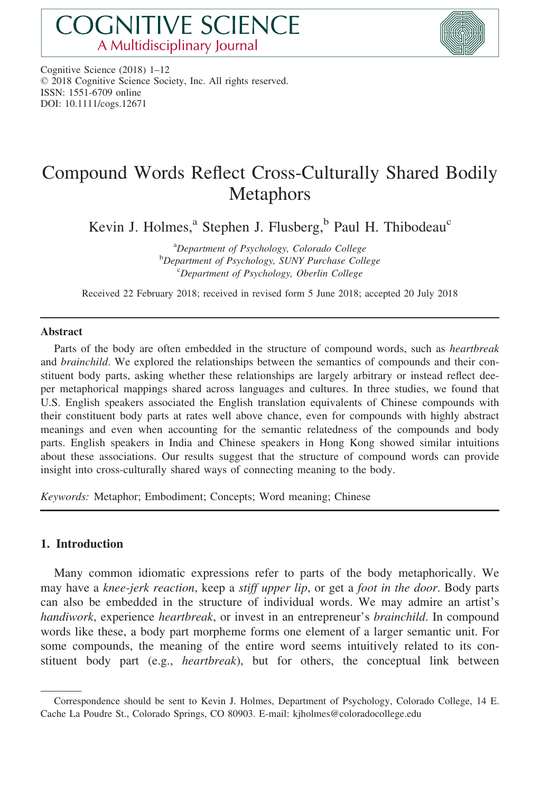# **COGNITIVE SCIENCE** A Multidisciplinary Journal



Cognitive Science (2018) 1–12 © 2018 Cognitive Science Society, Inc. All rights reserved. ISSN: 1551-6709 online DOI: 10.1111/cogs.12671

# Compound Words Reflect Cross-Culturally Shared Bodily Metaphors

Kevin J. Holmes, $a^a$  Stephen J. Flusberg, $b^b$  Paul H. Thibodeau<sup>c</sup>

<sup>a</sup> Department of Psychology, Colorado College<br><sup>b</sup> Department of Psychology, SUNY Purchase Coll <sup>b</sup>Department of Psychology, SUNY Purchase College Department of Psychology, Oberlin College

Received 22 February 2018; received in revised form 5 June 2018; accepted 20 July 2018

### Abstract

Parts of the body are often embedded in the structure of compound words, such as *heartbreak* and brainchild. We explored the relationships between the semantics of compounds and their constituent body parts, asking whether these relationships are largely arbitrary or instead reflect deeper metaphorical mappings shared across languages and cultures. In three studies, we found that U.S. English speakers associated the English translation equivalents of Chinese compounds with their constituent body parts at rates well above chance, even for compounds with highly abstract meanings and even when accounting for the semantic relatedness of the compounds and body parts. English speakers in India and Chinese speakers in Hong Kong showed similar intuitions about these associations. Our results suggest that the structure of compound words can provide insight into cross-culturally shared ways of connecting meaning to the body.

Keywords: Metaphor; Embodiment; Concepts; Word meaning; Chinese

# 1. Introduction

Many common idiomatic expressions refer to parts of the body metaphorically. We may have a knee-jerk reaction, keep a stiff upper lip, or get a foot in the door. Body parts can also be embedded in the structure of individual words. We may admire an artist's handiwork, experience *heartbreak*, or invest in an entrepreneur's *brainchild*. In compound words like these, a body part morpheme forms one element of a larger semantic unit. For some compounds, the meaning of the entire word seems intuitively related to its constituent body part (e.g., *heartbreak*), but for others, the conceptual link between

Correspondence should be sent to Kevin J. Holmes, Department of Psychology, Colorado College, 14 E. Cache La Poudre St., Colorado Springs, CO 80903. E-mail: [kjholmes@coloradocollege.edu](mailto:)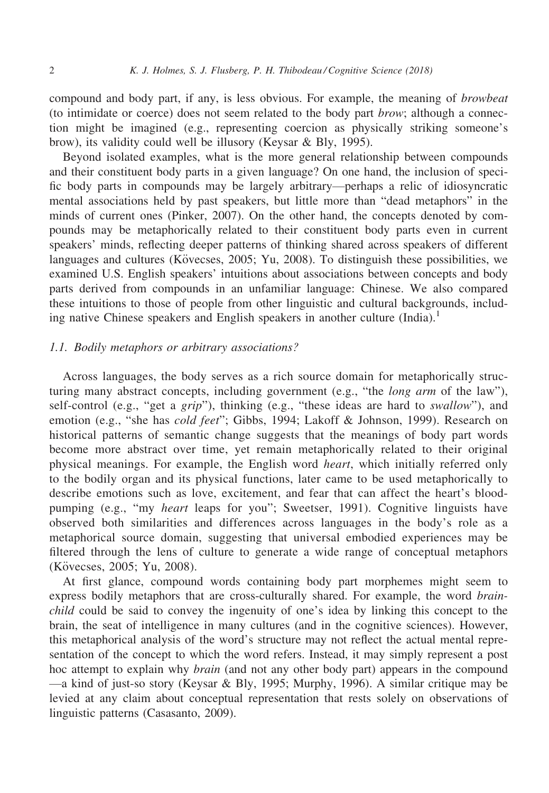compound and body part, if any, is less obvious. For example, the meaning of browbeat (to intimidate or coerce) does not seem related to the body part brow; although a connection might be imagined (e.g., representing coercion as physically striking someone's brow), its validity could well be illusory (Keysar & Bly, 1995).

Beyond isolated examples, what is the more general relationship between compounds and their constituent body parts in a given language? On one hand, the inclusion of specific body parts in compounds may be largely arbitrary—perhaps a relic of idiosyncratic mental associations held by past speakers, but little more than "dead metaphors" in the minds of current ones (Pinker, 2007). On the other hand, the concepts denoted by compounds may be metaphorically related to their constituent body parts even in current speakers' minds, reflecting deeper patterns of thinking shared across speakers of different languages and cultures (Kövecses, 2005; Yu, 2008). To distinguish these possibilities, we examined U.S. English speakers' intuitions about associations between concepts and body parts derived from compounds in an unfamiliar language: Chinese. We also compared these intuitions to those of people from other linguistic and cultural backgrounds, including native Chinese speakers and English speakers in another culture  $(India)^1$ 

#### 1.1. Bodily metaphors or arbitrary associations?

Across languages, the body serves as a rich source domain for metaphorically structuring many abstract concepts, including government (e.g., "the *long arm* of the law"), self-control (e.g., "get a  $grip$ "), thinking (e.g., "these ideas are hard to swallow"), and emotion (e.g., "she has *cold feet*"; Gibbs, 1994; Lakoff & Johnson, 1999). Research on historical patterns of semantic change suggests that the meanings of body part words become more abstract over time, yet remain metaphorically related to their original physical meanings. For example, the English word heart, which initially referred only to the bodily organ and its physical functions, later came to be used metaphorically to describe emotions such as love, excitement, and fear that can affect the heart's bloodpumping (e.g., "my heart leaps for you"; Sweetser, 1991). Cognitive linguists have observed both similarities and differences across languages in the body's role as a metaphorical source domain, suggesting that universal embodied experiences may be filtered through the lens of culture to generate a wide range of conceptual metaphors (Kövecses, 2005; Yu, 2008).

At first glance, compound words containing body part morphemes might seem to express bodily metaphors that are cross-culturally shared. For example, the word *brain*child could be said to convey the ingenuity of one's idea by linking this concept to the brain, the seat of intelligence in many cultures (and in the cognitive sciences). However, this metaphorical analysis of the word's structure may not reflect the actual mental representation of the concept to which the word refers. Instead, it may simply represent a post hoc attempt to explain why *brain* (and not any other body part) appears in the compound —a kind of just-so story (Keysar & Bly, 1995; Murphy, 1996). A similar critique may be levied at any claim about conceptual representation that rests solely on observations of linguistic patterns (Casasanto, 2009).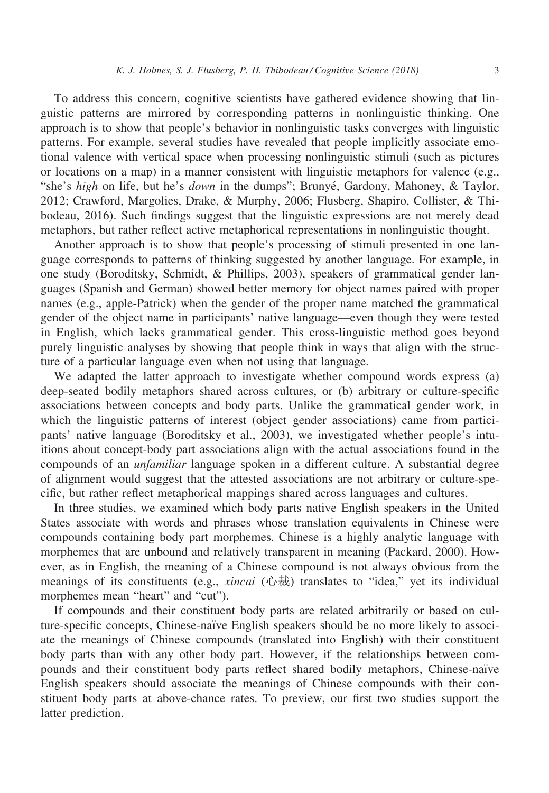To address this concern, cognitive scientists have gathered evidence showing that linguistic patterns are mirrored by corresponding patterns in nonlinguistic thinking. One approach is to show that people's behavior in nonlinguistic tasks converges with linguistic patterns. For example, several studies have revealed that people implicitly associate emotional valence with vertical space when processing nonlinguistic stimuli (such as pictures or locations on a map) in a manner consistent with linguistic metaphors for valence (e.g., "she's high on life, but he's down in the dumps"; Brunyé, Gardony, Mahoney, & Taylor, 2012; Crawford, Margolies, Drake, & Murphy, 2006; Flusberg, Shapiro, Collister, & Thibodeau, 2016). Such findings suggest that the linguistic expressions are not merely dead metaphors, but rather reflect active metaphorical representations in nonlinguistic thought.

Another approach is to show that people's processing of stimuli presented in one language corresponds to patterns of thinking suggested by another language. For example, in one study (Boroditsky, Schmidt, & Phillips, 2003), speakers of grammatical gender languages (Spanish and German) showed better memory for object names paired with proper names (e.g., apple-Patrick) when the gender of the proper name matched the grammatical gender of the object name in participants' native language—even though they were tested in English, which lacks grammatical gender. This cross-linguistic method goes beyond purely linguistic analyses by showing that people think in ways that align with the structure of a particular language even when not using that language.

We adapted the latter approach to investigate whether compound words express (a) deep-seated bodily metaphors shared across cultures, or (b) arbitrary or culture-specific associations between concepts and body parts. Unlike the grammatical gender work, in which the linguistic patterns of interest (object–gender associations) came from participants' native language (Boroditsky et al., 2003), we investigated whether people's intuitions about concept-body part associations align with the actual associations found in the compounds of an unfamiliar language spoken in a different culture. A substantial degree of alignment would suggest that the attested associations are not arbitrary or culture-specific, but rather reflect metaphorical mappings shared across languages and cultures.

In three studies, we examined which body parts native English speakers in the United States associate with words and phrases whose translation equivalents in Chinese were compounds containing body part morphemes. Chinese is a highly analytic language with morphemes that are unbound and relatively transparent in meaning (Packard, 2000). However, as in English, the meaning of a Chinese compound is not always obvious from the meanings of its constituents (e.g., *xincai* (心裁) translates to "idea," yet its individual morphemes mean "heart" and "cut").

If compounds and their constituent body parts are related arbitrarily or based on culture-specific concepts, Chinese-naïve English speakers should be no more likely to associ-ate the meanings of Chinese compounds (translated into English) with their constituent body parts than with any other body part. However, if the relationships between compounds and their constituent body parts reflect shared bodily metaphors, Chinese-naïve English speakers should associate the meanings of Chinese compounds with their constituent body parts at above-chance rates. To preview, our first two studies support the latter prediction.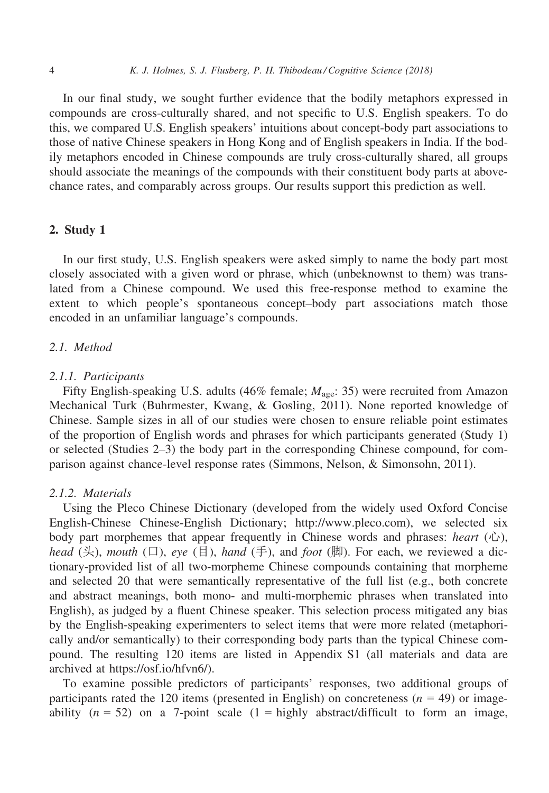In our final study, we sought further evidence that the bodily metaphors expressed in compounds are cross-culturally shared, and not specific to U.S. English speakers. To do this, we compared U.S. English speakers' intuitions about concept-body part associations to those of native Chinese speakers in Hong Kong and of English speakers in India. If the bodily metaphors encoded in Chinese compounds are truly cross-culturally shared, all groups should associate the meanings of the compounds with their constituent body parts at abovechance rates, and comparably across groups. Our results support this prediction as well.

## 2. Study 1

In our first study, U.S. English speakers were asked simply to name the body part most closely associated with a given word or phrase, which (unbeknownst to them) was translated from a Chinese compound. We used this free-response method to examine the extent to which people's spontaneous concept–body part associations match those encoded in an unfamiliar language's compounds.

## 2.1. Method

#### 2.1.1. Participants

Fifty English-speaking U.S. adults (46% female;  $M_{\text{age}}$ : 35) were recruited from Amazon Mechanical Turk (Buhrmester, Kwang, & Gosling, 2011). None reported knowledge of Chinese. Sample sizes in all of our studies were chosen to ensure reliable point estimates of the proportion of English words and phrases for which participants generated (Study 1) or selected (Studies 2–3) the body part in the corresponding Chinese compound, for comparison against chance-level response rates (Simmons, Nelson, & Simonsohn, 2011).

# 2.1.2. Materials

Using the Pleco Chinese Dictionary (developed from the widely used Oxford Concise English-Chinese Chinese-English Dictionary; [http://www.pleco.com\)](http://www.pleco.com), we selected six body part morphemes that appear frequently in Chinese words and phrases: *heart*  $(\hat{\mathcal{L}})$ , head (头), mouth (口), eye (目), hand (手), and foot (脚). For each, we reviewed a dictionary-provided list of all two-morpheme Chinese compounds containing that morpheme and selected 20 that were semantically representative of the full list (e.g., both concrete and abstract meanings, both mono- and multi-morphemic phrases when translated into English), as judged by a fluent Chinese speaker. This selection process mitigated any bias by the English-speaking experimenters to select items that were more related (metaphorically and/or semantically) to their corresponding body parts than the typical Chinese compound. The resulting 120 items are listed in Appendix S1 (all materials and data are archived at [https://osf.io/hfvn6/\)](https://osf.io/hfvn6/).

To examine possible predictors of participants' responses, two additional groups of participants rated the 120 items (presented in English) on concreteness ( $n = 49$ ) or imageability  $(n = 52)$  on a 7-point scale  $(1 = \text{highly abstract/difficult to form an image})$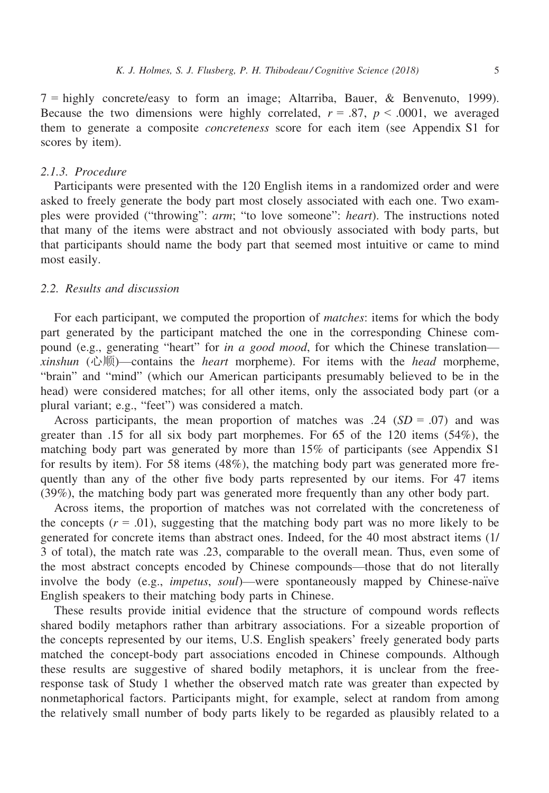7 = highly concrete/easy to form an image; Altarriba, Bauer, & Benvenuto, 1999). Because the two dimensions were highly correlated,  $r = .87$ ,  $p < .0001$ , we averaged them to generate a composite concreteness score for each item (see Appendix S1 for scores by item).

## 2.1.3. Procedure

Participants were presented with the 120 English items in a randomized order and were asked to freely generate the body part most closely associated with each one. Two examples were provided ("throwing": arm; "to love someone": heart). The instructions noted that many of the items were abstract and not obviously associated with body parts, but that participants should name the body part that seemed most intuitive or came to mind most easily.

## 2.2. Results and discussion

For each participant, we computed the proportion of *matches*: items for which the body part generated by the participant matched the one in the corresponding Chinese compound (e.g., generating "heart" for in a good mood, for which the Chinese translation xinshun (心顺)—contains the *heart* morpheme). For items with the *head* morpheme, "brain" and "mind" (which our American participants presumably believed to be in the head) were considered matches; for all other items, only the associated body part (or a plural variant; e.g., "feet") was considered a match.

Across participants, the mean proportion of matches was .24  $(SD = .07)$  and was greater than .15 for all six body part morphemes. For 65 of the 120 items (54%), the matching body part was generated by more than 15% of participants (see Appendix S1 for results by item). For 58 items (48%), the matching body part was generated more frequently than any of the other five body parts represented by our items. For 47 items (39%), the matching body part was generated more frequently than any other body part.

Across items, the proportion of matches was not correlated with the concreteness of the concepts  $(r = .01)$ , suggesting that the matching body part was no more likely to be generated for concrete items than abstract ones. Indeed, for the 40 most abstract items (1/ 3 of total), the match rate was .23, comparable to the overall mean. Thus, even some of the most abstract concepts encoded by Chinese compounds—those that do not literally involve the body (e.g., *impetus, soul*)—were spontaneously mapped by Chinese-naïve English speakers to their matching body parts in Chinese.

These results provide initial evidence that the structure of compound words reflects shared bodily metaphors rather than arbitrary associations. For a sizeable proportion of the concepts represented by our items, U.S. English speakers' freely generated body parts matched the concept-body part associations encoded in Chinese compounds. Although these results are suggestive of shared bodily metaphors, it is unclear from the freeresponse task of Study 1 whether the observed match rate was greater than expected by nonmetaphorical factors. Participants might, for example, select at random from among the relatively small number of body parts likely to be regarded as plausibly related to a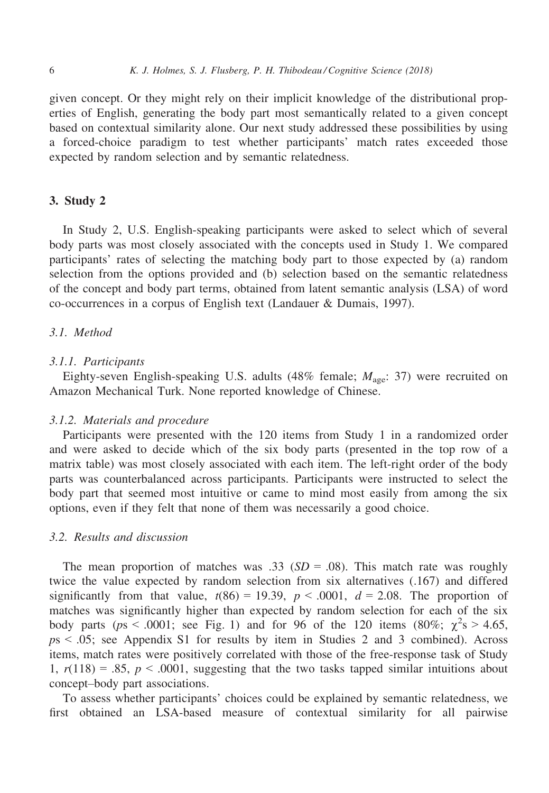given concept. Or they might rely on their implicit knowledge of the distributional properties of English, generating the body part most semantically related to a given concept based on contextual similarity alone. Our next study addressed these possibilities by using a forced-choice paradigm to test whether participants' match rates exceeded those expected by random selection and by semantic relatedness.

## 3. Study 2

In Study 2, U.S. English-speaking participants were asked to select which of several body parts was most closely associated with the concepts used in Study 1. We compared participants' rates of selecting the matching body part to those expected by (a) random selection from the options provided and (b) selection based on the semantic relatedness of the concept and body part terms, obtained from latent semantic analysis (LSA) of word co-occurrences in a corpus of English text (Landauer & Dumais, 1997).

# 3.1. Method

#### 3.1.1. Participants

Eighty-seven English-speaking U.S. adults (48% female;  $M_{\text{age}}$ : 37) were recruited on Amazon Mechanical Turk. None reported knowledge of Chinese.

#### 3.1.2. Materials and procedure

Participants were presented with the 120 items from Study 1 in a randomized order and were asked to decide which of the six body parts (presented in the top row of a matrix table) was most closely associated with each item. The left-right order of the body parts was counterbalanced across participants. Participants were instructed to select the body part that seemed most intuitive or came to mind most easily from among the six options, even if they felt that none of them was necessarily a good choice.

## 3.2. Results and discussion

The mean proportion of matches was .33 ( $SD = .08$ ). This match rate was roughly twice the value expected by random selection from six alternatives (.167) and differed significantly from that value,  $t(86) = 19.39$ ,  $p < .0001$ ,  $d = 2.08$ . The proportion of matches was significantly higher than expected by random selection for each of the six body parts ( $ps < .0001$ ; see Fig. 1) and for 96 of the 120 items (80%;  $\chi^2 s > 4.65$ ,  $ps < .05$ ; see Appendix S1 for results by item in Studies 2 and 3 combined). Across  $ps < .05$ ; see Appendix S1 for results by item in Studies 2 and 3 combined). Across items, match rates were positively correlated with those of the free-response task of Study 1,  $r(118) = .85$ ,  $p < .0001$ , suggesting that the two tasks tapped similar intuitions about concept–body part associations.

To assess whether participants' choices could be explained by semantic relatedness, we first obtained an LSA-based measure of contextual similarity for all pairwise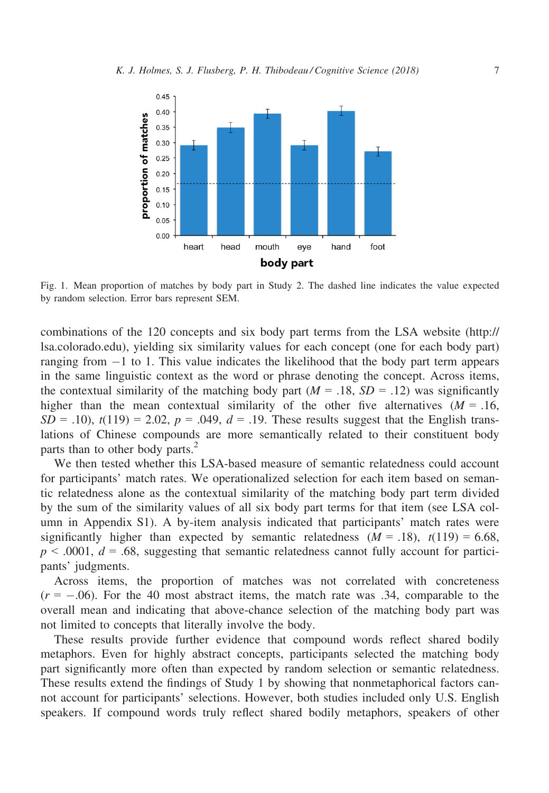

Fig. 1. Mean proportion of matches by body part in Study 2. The dashed line indicates the value expected by random selection. Error bars represent SEM.

combinations of the 120 concepts and six body part terms from the LSA website ([http://](http://lsa.colorado.edu) [lsa.colorado.edu\)](http://lsa.colorado.edu), yielding six similarity values for each concept (one for each body part) ranging from  $-1$  to 1. This value indicates the likelihood that the body part term appears in the same linguistic context as the word or phrase denoting the concept. Across items, the contextual similarity of the matching body part  $(M = .18, SD = .12)$  was significantly higher than the mean contextual similarity of the other five alternatives  $(M = .16, )$  $SD = .10$ ,  $t(119) = 2.02$ ,  $p = .049$ ,  $d = .19$ . These results suggest that the English translations of Chinese compounds are more semantically related to their constituent body parts than to other body parts.<sup>2</sup>

We then tested whether this LSA-based measure of semantic relatedness could account for participants' match rates. We operationalized selection for each item based on semantic relatedness alone as the contextual similarity of the matching body part term divided by the sum of the similarity values of all six body part terms for that item (see LSA column in Appendix S1). A by-item analysis indicated that participants' match rates were significantly higher than expected by semantic relatedness  $(M = .18)$ ,  $t(119) = 6.68$ ,  $p \leq 0.0001$ ,  $d = 0.68$ , suggesting that semantic relatedness cannot fully account for participants' judgments.

Across items, the proportion of matches was not correlated with concreteness  $(r = -.06)$ . For the 40 most abstract items, the match rate was .34, comparable to the overall mean and indicating that above-chance selection of the matching body part was not limited to concepts that literally involve the body.

These results provide further evidence that compound words reflect shared bodily metaphors. Even for highly abstract concepts, participants selected the matching body part significantly more often than expected by random selection or semantic relatedness. These results extend the findings of Study 1 by showing that nonmetaphorical factors cannot account for participants' selections. However, both studies included only U.S. English speakers. If compound words truly reflect shared bodily metaphors, speakers of other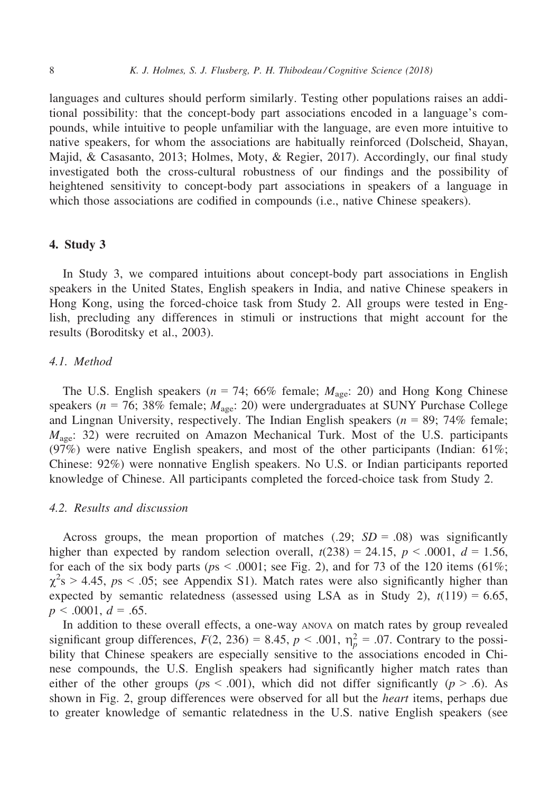languages and cultures should perform similarly. Testing other populations raises an additional possibility: that the concept-body part associations encoded in a language's compounds, while intuitive to people unfamiliar with the language, are even more intuitive to native speakers, for whom the associations are habitually reinforced (Dolscheid, Shayan, Majid, & Casasanto, 2013; Holmes, Moty, & Regier, 2017). Accordingly, our final study investigated both the cross-cultural robustness of our findings and the possibility of heightened sensitivity to concept-body part associations in speakers of a language in which those associations are codified in compounds (i.e., native Chinese speakers).

# 4. Study 3

In Study 3, we compared intuitions about concept-body part associations in English speakers in the United States, English speakers in India, and native Chinese speakers in Hong Kong, using the forced-choice task from Study 2. All groups were tested in English, precluding any differences in stimuli or instructions that might account for the results (Boroditsky et al., 2003).

### 4.1. Method

The U.S. English speakers ( $n = 74$ ; 66% female;  $M_{\text{age}}$ : 20) and Hong Kong Chinese speakers ( $n = 76$ ; 38% female;  $M_{\text{age}}$ : 20) were undergraduates at SUNY Purchase College and Lingnan University, respectively. The Indian English speakers ( $n = 89$ ; 74% female;  $M_{\text{age}}$ : 32) were recruited on Amazon Mechanical Turk. Most of the U.S. participants (97%) were native English speakers, and most of the other participants (Indian: 61%; Chinese: 92%) were nonnative English speakers. No U.S. or Indian participants reported knowledge of Chinese. All participants completed the forced-choice task from Study 2.

#### 4.2. Results and discussion

Across groups, the mean proportion of matches (.29;  $SD = .08$ ) was significantly higher than expected by random selection overall,  $t(238) = 24.15$ ,  $p < .0001$ ,  $d = 1.56$ , for each of the six body parts ( $ps < .0001$ ; see Fig. 2), and for 73 of the 120 items (61%;  $\chi^2$ s > 4.45, ps < .05; see Appendix S1). Match rates were also significantly higher than<br>expected by semantic relatedness (assessed using I SA as in Study 2)  $t(119) = 6.65$ expected by semantic relatedness (assessed using LSA as in Study 2),  $t(119) = 6.65$ ,  $p < .0001, d = .65.$ 

In addition to these overall effects, a one-way ANOVA on match rates by group revealed significant group differences,  $F(2, 236) = 8.45$ ,  $p < .001$ ,  $\eta_p^2 = .07$ . Contrary to the possibility that Chinese speakers are especially sensitive to the associations encoded in Chibility that Chinese speakers are especially sensitive to the associations encoded in Chinese compounds, the U.S. English speakers had significantly higher match rates than either of the other groups ( $ps < .001$ ), which did not differ significantly ( $p > .6$ ). As shown in Fig. 2, group differences were observed for all but the heart items, perhaps due to greater knowledge of semantic relatedness in the U.S. native English speakers (see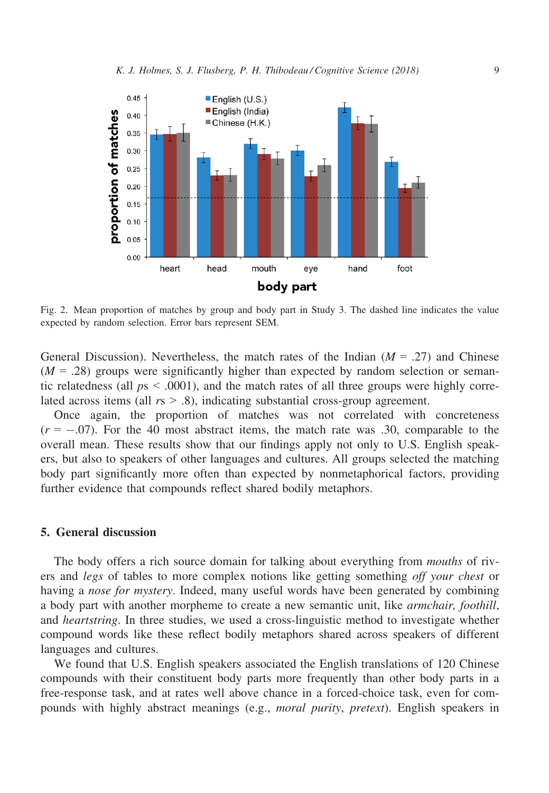

Fig. 2. Mean proportion of matches by group and body part in Study 3. The dashed line indicates the value expected by random selection. Error bars represent SEM.

General Discussion). Nevertheless, the match rates of the Indian  $(M = .27)$  and Chinese  $(M = .28)$  groups were significantly higher than expected by random selection or semantic relatedness (all  $ps < .0001$ ), and the match rates of all three groups were highly correlated across items (all  $rs > .8$ ), indicating substantial cross-group agreement.

Once again, the proportion of matches was not correlated with concreteness  $(r = -.07)$ . For the 40 most abstract items, the match rate was .30, comparable to the overall mean. These results show that our findings apply not only to U.S. English speakers, but also to speakers of other languages and cultures. All groups selected the matching body part significantly more often than expected by nonmetaphorical factors, providing further evidence that compounds reflect shared bodily metaphors.

## 5. General discussion

The body offers a rich source domain for talking about everything from *mouths* of rivers and legs of tables to more complex notions like getting something off your chest or having a nose for mystery. Indeed, many useful words have been generated by combining a body part with another morpheme to create a new semantic unit, like armchair, foothill, and heartstring. In three studies, we used a cross-linguistic method to investigate whether compound words like these reflect bodily metaphors shared across speakers of different languages and cultures.

We found that U.S. English speakers associated the English translations of 120 Chinese compounds with their constituent body parts more frequently than other body parts in a free-response task, and at rates well above chance in a forced-choice task, even for compounds with highly abstract meanings (e.g., moral purity, pretext). English speakers in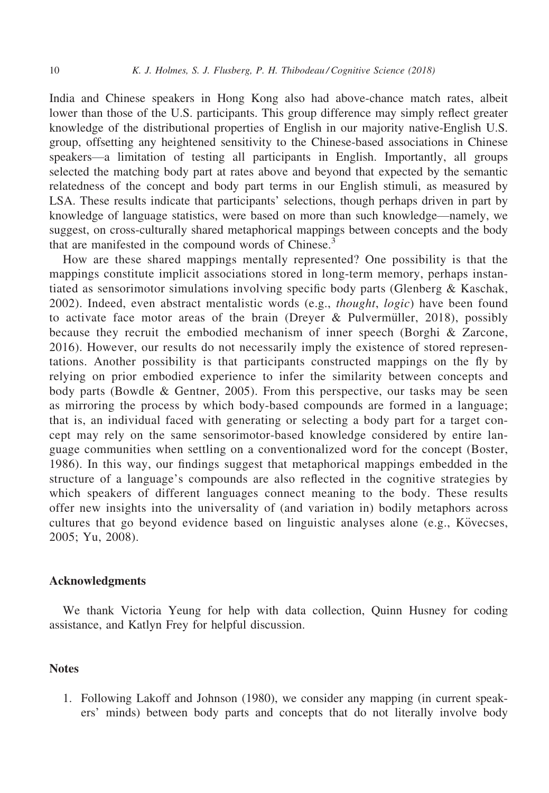India and Chinese speakers in Hong Kong also had above-chance match rates, albeit lower than those of the U.S. participants. This group difference may simply reflect greater knowledge of the distributional properties of English in our majority native-English U.S. group, offsetting any heightened sensitivity to the Chinese-based associations in Chinese speakers—a limitation of testing all participants in English. Importantly, all groups selected the matching body part at rates above and beyond that expected by the semantic relatedness of the concept and body part terms in our English stimuli, as measured by LSA. These results indicate that participants' selections, though perhaps driven in part by knowledge of language statistics, were based on more than such knowledge—namely, we suggest, on cross-culturally shared metaphorical mappings between concepts and the body that are manifested in the compound words of Chinese. $3$ 

How are these shared mappings mentally represented? One possibility is that the mappings constitute implicit associations stored in long-term memory, perhaps instantiated as sensorimotor simulations involving specific body parts (Glenberg & Kaschak, 2002). Indeed, even abstract mentalistic words (e.g., thought, logic) have been found to activate face motor areas of the brain (Dreyer & Pulvermüller, 2018), possibly because they recruit the embodied mechanism of inner speech (Borghi & Zarcone, 2016). However, our results do not necessarily imply the existence of stored representations. Another possibility is that participants constructed mappings on the fly by relying on prior embodied experience to infer the similarity between concepts and body parts (Bowdle & Gentner, 2005). From this perspective, our tasks may be seen as mirroring the process by which body-based compounds are formed in a language; that is, an individual faced with generating or selecting a body part for a target concept may rely on the same sensorimotor-based knowledge considered by entire language communities when settling on a conventionalized word for the concept (Boster, 1986). In this way, our findings suggest that metaphorical mappings embedded in the structure of a language's compounds are also reflected in the cognitive strategies by which speakers of different languages connect meaning to the body. These results offer new insights into the universality of (and variation in) bodily metaphors across cultures that go beyond evidence based on linguistic analyses alone  $(e.g., Köveces,$ 2005; Yu, 2008).

# Acknowledgments

We thank Victoria Yeung for help with data collection, Quinn Husney for coding assistance, and Katlyn Frey for helpful discussion.

# **Notes**

1. Following Lakoff and Johnson (1980), we consider any mapping (in current speakers' minds) between body parts and concepts that do not literally involve body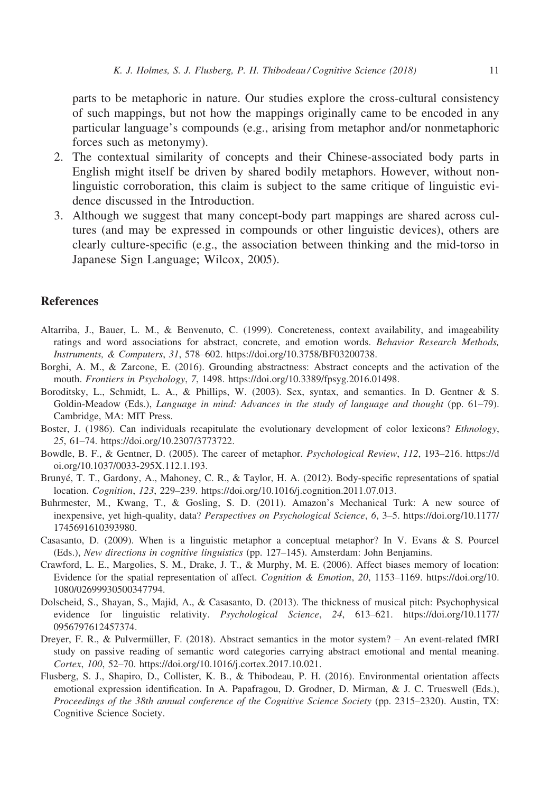parts to be metaphoric in nature. Our studies explore the cross-cultural consistency of such mappings, but not how the mappings originally came to be encoded in any particular language's compounds (e.g., arising from metaphor and/or nonmetaphoric forces such as metonymy).

- 2. The contextual similarity of concepts and their Chinese-associated body parts in English might itself be driven by shared bodily metaphors. However, without nonlinguistic corroboration, this claim is subject to the same critique of linguistic evidence discussed in the Introduction.
- 3. Although we suggest that many concept-body part mappings are shared across cultures (and may be expressed in compounds or other linguistic devices), others are clearly culture-specific (e.g., the association between thinking and the mid-torso in Japanese Sign Language; Wilcox, 2005).

### References

- Altarriba, J., Bauer, L. M., & Benvenuto, C. (1999). Concreteness, context availability, and imageability ratings and word associations for abstract, concrete, and emotion words. Behavior Research Methods, Instruments, & Computers, 31, 578–602. [https://doi.org/10.3758/BF03200738.](https://doi.org/10.3758/BF03200738)
- Borghi, A. M., & Zarcone, E. (2016). Grounding abstractness: Abstract concepts and the activation of the mouth. Frontiers in Psychology, 7, 1498. [https://doi.org/10.3389/fpsyg.2016.01498.](https://doi.org/10.3389/fpsyg.2016.01498)
- Boroditsky, L., Schmidt, L. A., & Phillips, W. (2003). Sex, syntax, and semantics. In D. Gentner & S. Goldin-Meadow (Eds.), *Language in mind: Advances in the study of language and thought* (pp. 61–79). Cambridge, MA: MIT Press.
- Boster, J. (1986). Can individuals recapitulate the evolutionary development of color lexicons? Ethnology, 25, 61–74. [https://doi.org/10.2307/3773722.](https://doi.org/10.2307/3773722)
- Bowdle, B. F., & Gentner, D. (2005). The career of metaphor. Psychological Review, 112, 193–216. [https://d](https://doi.org/10.1037/0033-295X.112.1.193) [oi.org/10.1037/0033-295X.112.1.193.](https://doi.org/10.1037/0033-295X.112.1.193)
- Brunyé, T. T., Gardony, A., Mahoney, C. R., & Taylor, H. A. (2012). Body-specific representations of spatial location. Cognition, 123, 229–239. [https://doi.org/10.1016/j.cognition.2011.07.013.](https://doi.org/10.1016/j.cognition.2011.07.013)
- Buhrmester, M., Kwang, T., & Gosling, S. D. (2011). Amazon's Mechanical Turk: A new source of inexpensive, yet high-quality, data? Perspectives on Psychological Science, 6, 3–5. [https://doi.org/10.1177/](https://doi.org/10.1177/1745691610393980) [1745691610393980](https://doi.org/10.1177/1745691610393980).
- Casasanto, D. (2009). When is a linguistic metaphor a conceptual metaphor? In V. Evans & S. Pourcel (Eds.), New directions in cognitive linguistics (pp. 127–145). Amsterdam: John Benjamins.
- Crawford, L. E., Margolies, S. M., Drake, J. T., & Murphy, M. E. (2006). Affect biases memory of location: Evidence for the spatial representation of affect. Cognition & Emotion, 20, 1153–1169. [https://doi.org/10.](https://doi.org/10.1080/02699930500347794) [1080/02699930500347794](https://doi.org/10.1080/02699930500347794).
- Dolscheid, S., Shayan, S., Majid, A., & Casasanto, D. (2013). The thickness of musical pitch: Psychophysical evidence for linguistic relativity. Psychological Science, 24, 613–621. [https://doi.org/10.1177/](https://doi.org/10.1177/0956797612457374) [0956797612457374](https://doi.org/10.1177/0956797612457374).
- Dreyer, F. R., & Pulvermüller, F. (2018). Abstract semantics in the motor system? An event-related fMRI study on passive reading of semantic word categories carrying abstract emotional and mental meaning. Cortex, 100, 52–70. [https://doi.org/10.1016/j.cortex.2017.10.021.](https://doi.org/10.1016/j.cortex.2017.10.021)
- Flusberg, S. J., Shapiro, D., Collister, K. B., & Thibodeau, P. H. (2016). Environmental orientation affects emotional expression identification. In A. Papafragou, D. Grodner, D. Mirman, & J. C. Trueswell (Eds.), Proceedings of the 38th annual conference of the Cognitive Science Society (pp. 2315–2320). Austin, TX: Cognitive Science Society.